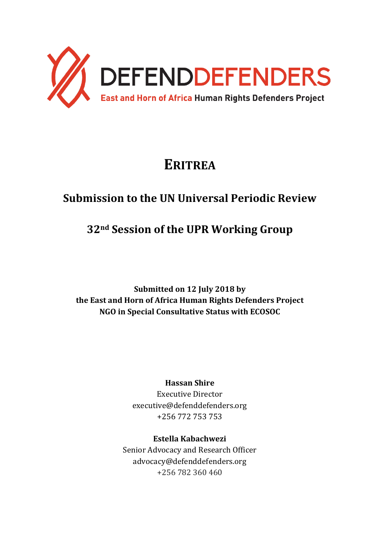

# **ERITREA**

# **Submission to the UN Universal Periodic Review**

# **32nd Session of the UPR Working Group**

**Submitted on 12 July 2018 by the East and Horn of Africa Human Rights Defenders Project NGO in Special Consultative Status with ECOSOC**

### **Hassan Shire**

Executive Director executive@defenddefenders.org +256 772 753 753

### **Estella Kabachwezi**

Senior Advocacy and Research Officer advocacy@defenddefenders.org +256 782 360 460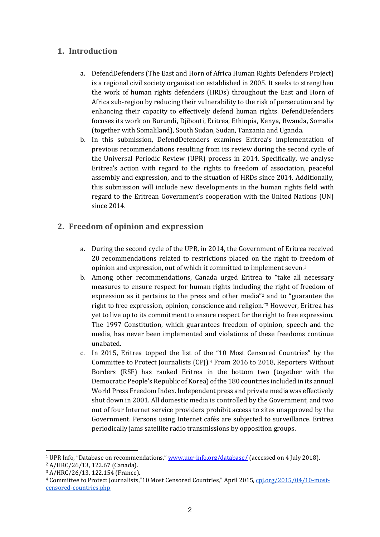#### **1. Introduction**

- a. DefendDefenders (The East and Horn of Africa Human Rights Defenders Project) is a regional civil society organisation established in 2005. It seeks to strengthen the work of human rights defenders (HRDs) throughout the East and Horn of Africa sub-region by reducing their vulnerability to the risk of persecution and by enhancing their capacity to effectively defend human rights. DefendDefenders focuses its work on Burundi, Djibouti, Eritrea, Ethiopia, Kenya, Rwanda, Somalia (together with Somaliland), South Sudan, Sudan, Tanzania and Uganda.
- b. In this submission, DefendDefenders examines Eritrea's implementation of previous recommendations resulting from its review during the second cycle of the Universal Periodic Review (UPR) process in 2014. Specifically, we analyse Eritrea's action with regard to the rights to freedom of association, peaceful assembly and expression, and to the situation of HRDs since 2014. Additionally, this submission will include new developments in the human rights field with regard to the Eritrean Government's cooperation with the United Nations (UN) since 2014.

#### **2. Freedom of opinion and expression**

- a. During the second cycle of the UPR, in 2014, the Government of Eritrea received 20 recommendations related to restrictions placed on the right to freedom of opinion and expression, out of which it committed to implement seven. 1
- b. Among other recommendations, Canada urged Eritrea to "take all necessary measures to ensure respect for human rights including the right of freedom of expression as it pertains to the press and other media"<sup>2</sup> and to "guarantee the right to free expression, opinion, conscience and religion." <sup>3</sup> However, Eritrea has yet to live up to its commitment to ensure respect for the right to free expression. The 1997 Constitution, which guarantees freedom of opinion, speech and the media, has never been implemented and violations of these freedoms continue unabated.
- c. In 2015, Eritrea topped the list of the "10 Most Censored Countries" by the Committee to Protect Journalists (CPJ).<sup>4</sup> From 2016 to 2018, Reporters Without Borders (RSF) has ranked Eritrea in the bottom two (together with the Democratic People's Republic of Korea) of the 180 countries included in its annual World Press Freedom Index. Independent press and private media was effectively shut down in 2001. All domestic media is controlled by the Government, and two out of four Internet service providers prohibit access to sites unapproved by the Government. Persons using Internet cafés are subjected to surveillance. Eritrea periodically jams satellite radio transmissions by opposition groups.

<sup>&</sup>lt;sup>1</sup> UPR Info, "Database on recommendations," [www.upr-info.org/database/](http://www.upr-info.org/database/) (accessed on 4 July 2018).

<sup>2</sup> A/HRC/26/13, 122.67 (Canada).

<sup>3</sup> A/HRC/26/13, 122.154 (France).

<sup>4</sup> Committee to Protect Journalists,"10 Most Censored Countries," April 2015[, cpj.org/2015/04/10-most](https://cpj.org/2015/04/10-most-censored-countries.php)[censored-countries.php](https://cpj.org/2015/04/10-most-censored-countries.php)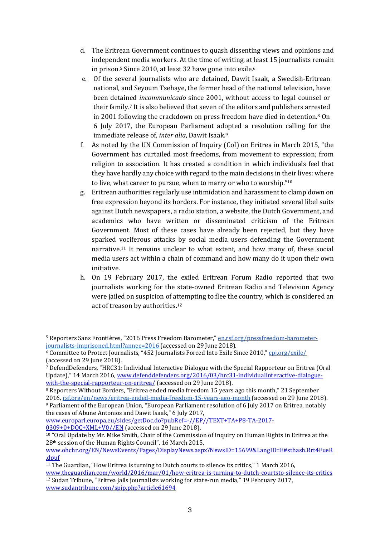- d. The Eritrean Government continues to quash dissenting views and opinions and independent media workers. At the time of writing, at least 15 journalists remain in prison. <sup>5</sup> Since 2010, at least 32 have gone into exile. 6
- e. Of the several journalists who are detained, Dawit Isaak, a Swedish-Eritrean national, and Seyoum Tsehaye, the former head of the national television, have been detained *incommunicado* since 2001, without access to legal counsel or their family.<sup>7</sup> It is also believed that seven of the editors and publishers arrested in 2001 following the crackdown on press freedom have died in detention. <sup>8</sup> On 6 July 2017, the European Parliament adopted a resolution calling for the immediate release of, *inter alia*, Dawit Isaak.<sup>9</sup>
- f. As noted by the UN Commission of Inquiry (CoI) on Eritrea in March 2015, "the Government has curtailed most freedoms, from movement to expression; from religion to association. It has created a condition in which individuals feel that they have hardly any choice with regard to the main decisions in their lives: where to live, what career to pursue, when to marry or who to worship."<sup>10</sup>
- g. Eritrean authorities regularly use intimidation and harassment to clamp down on free expression beyond its borders. For instance, they initiated several libel suits against Dutch newspapers, a radio station, a website, the Dutch Government, and academics who have written or disseminated criticism of the Eritrean Government. Most of these cases have already been rejected, but they have sparked vociferous attacks by social media users defending the Government narrative.<sup>11</sup> It remains unclear to what extent, and how many of, these social media users act within a chain of command and how many do it upon their own initiative.
- h. On 19 February 2017, the exiled Eritrean Forum Radio reported that two journalists working for the state-owned Eritrean Radio and Television Agency were jailed on suspicion of attempting to flee the country, which is considered an act of treason by authorities.<sup>12</sup>

[www.europarl.europa.eu/sides/getDoc.do?pubRef=-//EP//TEXT+TA+P8-TA-2017-](http://www.europarl.europa.eu/sides/getDoc.do?pubRef=-//EP//TEXT+TA+P8-TA-2017-0309+0+DOC+XML+V0//EN) [0309+0+DOC+XML+V0//EN](http://www.europarl.europa.eu/sides/getDoc.do?pubRef=-//EP//TEXT+TA+P8-TA-2017-0309+0+DOC+XML+V0//EN) (accessed on 29 June 2018).

<sup>-</sup><sup>5</sup> Reporters Sans Frontières, "2016 Press Freedom Barometer," [en.rsf.org/pressfreedom-barometer](http://en.rsf.org/pressfreedom-barometer-journalists-imprisoned.html?annee=2016)[journalists-imprisoned.html?annee=2016](http://en.rsf.org/pressfreedom-barometer-journalists-imprisoned.html?annee=2016) (accessed on 29 June 2018).

<sup>6</sup> Committee to Protect Journalists, "452 Journalists Forced Into Exile Since 2010,["](https://cpj.org/exile/) [cpj.org/exile/](https://cpj.org/exile/) (accessed on 29 June 2018).

<sup>7</sup> DefendDefenders, "HRC31: Individual Interactive Dialogue with the Special Rapporteur on Eritrea (Oral Update)," 14 March 2016, [www.defenddefenders.org/2016/03/hrc31-individualinteractive-dialogue](https://www.defenddefenders.org/2016/03/hrc31-individualinteractive-dialogue-with-the-special-rapporteur-on-eritrea/)[with-the-special-rapporteur-on-eritrea/](http://www.defenddefenders.org/2016/03/hrc31-individualinteractive-dialogue-with-the-special-rapporteur-on-eritrea/) (accessed on 29 June 2018).

<sup>8</sup> Reporters Without Borders, "Eritrea ended media freedom 15 years ago this month," 21 September 2016[, rsf.org/en/news/eritrea-ended-media-freedom-15-years-ago-month](https://rsf.org/en/news/eritrea-ended-media-freedom-15-years-ago-month) (accessed on 29 June 2018). <sup>9</sup> Parliament of the European Union, "European Parliament resolution of 6 July 2017 on Eritrea, notably the cases of Abune Antonios and Dawit Isaak," 6 July 2017,

<sup>10</sup> "Oral Update by Mr. Mike Smith, Chair of the Commission of Inquiry on Human Rights in Eritrea at the 28th session of the Human Rights Council", 16 March 2015,

[www.ohchr.org/EN/NewsEvents/Pages/DisplayNews.aspx?NewsID=15699&LangID=E#sthash.Rrt4FueR](http://www.ohchr.org/EN/NewsEvents/Pages/DisplayNews.aspx?NewsID=15699&LangID=E#sthash.Rrt4FueR.dpuf) [.dpuf](http://www.ohchr.org/EN/NewsEvents/Pages/DisplayNews.aspx?NewsID=15699&LangID=E#sthash.Rrt4FueR.dpuf)

<sup>11</sup> The Guardian, "How Eritrea is turning to Dutch courts to silence its critics," 1 March 2016,

[www.theguardian.com/world/2016/mar/01/how-eritrea-is-turning-to-dutch-courtsto-silence-its-critics](http://www.theguardian.com/world/2016/mar/01/how-eritrea-is-turning-to-dutch-courtsto-silence-its-critics) <sup>12</sup> Sudan Tribune, "Eritrea jails journalists working for state-run media," 19 February 2017, [www.sudantribune.com/spip.php?article61694](http://www.sudantribune.com/spip.php?article61694)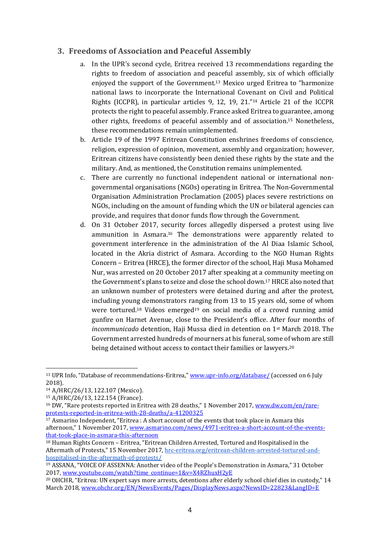#### **3. Freedoms of Association and Peaceful Assembly**

- a. In the UPR's second cycle, Eritrea received 13 recommendations regarding the rights to freedom of association and peaceful assembly, six of which officially enjoyed the support of the Government.<sup>13</sup> Mexico urged Eritrea to "harmonize national laws to incorporate the International Covenant on Civil and Political Rights (ICCPR), in particular articles 9, 12, 19, 21."<sup>14</sup> Article 21 of the ICCPR protects the right to peaceful assembly. France asked Eritrea to guarantee, among other rights, freedoms of peaceful assembly and of association. <sup>15</sup> Nonetheless, these recommendations remain unimplemented.
- b. Article 19 of the 1997 Eritrean Constitution enshrines freedoms of conscience, religion, expression of opinion, movement, assembly and organization; however, Eritrean citizens have consistently been denied these rights by the state and the military. And, as mentioned, the Constitution remains unimplemented.
- c. There are currently no functional independent national or international nongovernmental organisations (NGOs) operating in Eritrea. The Non-Governmental Organisation Administration Proclamation (2005) places severe restrictions on NGOs, including on the amount of funding which the UN or bilateral agencies can provide, and requires that donor funds flow through the Government.
- d. On 31 October 2017, security forces allegedly dispersed a protest using live ammunition in Asmara. <sup>16</sup> The demonstrations were apparently related to government interference in the administration of the Al Diaa Islamic School, located in the Akria district of Asmara. According to the NGO Human Rights Concern – Eritrea (HRCE), the former director of the school, Haji Musa Mohamed Nur, was arrested on 20 October 2017 after speaking at a community meeting on the Government's plans to seize and close the school down.<sup>17</sup> HRCE also noted that an unknown number of protesters were detained during and after the protest, including young demonstrators ranging from 13 to 15 years old, some of whom were tortured.<sup>18</sup> Videos emerged<sup>19</sup> on social media of a crowd running amid gunfire on Harnet Avenue, close to the President's office. After four months of *incommunicado* detention, Haji Mussa died in detention on 1st March 2018. The Government arrested hundreds of mourners at his funeral, some of whom are still being detained without access to contact their families or lawyers.<sup>20</sup>

<sup>&</sup>lt;sup>13</sup> UPR Info, "Database of recommendations-Eritrea," [www.upr-info.org/database/](http://www.upr-info.org/database/) (accessed on 6 July 2018).

<sup>14</sup> A/HRC/26/13, 122.107 (Mexico).

<sup>15</sup> A/HRC/26/13, 122.154 (France).

<sup>&</sup>lt;sup>16</sup> DW, "Rare protests reported in Eritrea with 28 deaths," 1 November 2017, [www.dw.com/en/rare](http://www.dw.com/en/rare-protests-reported-in-eritrea-with-28-deaths/a-41200325)[protests-reported-in-eritrea-with-28-deaths/a-41200325](http://www.dw.com/en/rare-protests-reported-in-eritrea-with-28-deaths/a-41200325)

<sup>&</sup>lt;sup>17</sup> Asmarino Independent, "Eritrea : A short account of the events that took place in Asmara this afternoon," 1 November 2017, [www.asmarino.com/news/4971-eritrea-a-short-account-of-the-events](http://www.asmarino.com/news/4971-eritrea-a-short-account-of-the-events-that-took-place-in-asmara-this-afternoon)[that-took-place-in-asmara-this-afternoon](http://www.asmarino.com/news/4971-eritrea-a-short-account-of-the-events-that-took-place-in-asmara-this-afternoon)

<sup>18</sup> Human Rights Concern – Eritrea, "Eritrean Children Arrested, Tortured and Hospitalised in the Aftermath of Protests," 15 November 2017, [hrc-eritrea.org/eritrean-children-arrested-tortured-and](http://hrc-eritrea.org/eritrean-children-arrested-tortured-and-hospitalised-in-the-aftermath-of-protests/)[hospitalised-in-the-aftermath-of-protests/](http://hrc-eritrea.org/eritrean-children-arrested-tortured-and-hospitalised-in-the-aftermath-of-protests/)

<sup>19</sup> ASSANA, "VOICE OF ASSENNA: Another video of the People's Demonstration in Asmara," 31 October 2017[, www.youtube.com/watch?time\\_continue=1&v=X4RZhuxH2yE](http://www.youtube.com/watch?time_continue=1&v=X4RZhuxH2yE)

<sup>20</sup> OHCHR, "Eritrea: UN expert says more arrests, detentions after elderly school chief dies in custody," 14 March 2018[, www.ohchr.org/EN/NewsEvents/Pages/DisplayNews.aspx?NewsID=22823&LangID=E](http://www.ohchr.org/EN/NewsEvents/Pages/DisplayNews.aspx?NewsID=22823&LangID=E)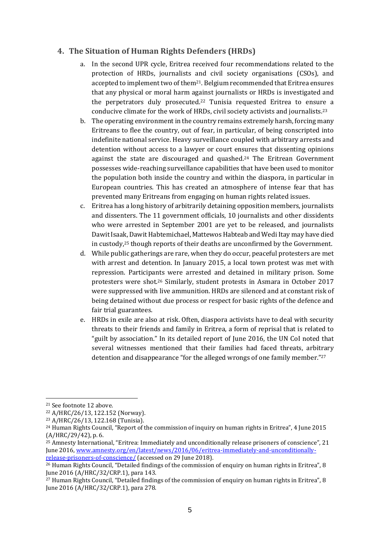#### **4. The Situation of Human Rights Defenders (HRDs)**

- a. In the second UPR cycle, Eritrea received four recommendations related to the protection of HRDs, journalists and civil society organisations (CSOs), and accepted to implement two of them21. Belgium recommended that Eritrea ensures that any physical or moral harm against journalists or HRDs is investigated and the perpetrators duly prosecuted.<sup>22</sup> Tunisia requested Eritrea to ensure a conducive climate for the work of HRDs, civil society activists and journalists. 23
- b. The operating environment in the country remains extremely harsh, forcing many Eritreans to flee the country, out of fear, in particular, of being conscripted into indefinite national service. Heavy surveillance coupled with arbitrary arrests and detention without access to a lawyer or court ensures that dissenting opinions against the state are discouraged and quashed. <sup>24</sup> The Eritrean Government possesses wide-reaching surveillance capabilities that have been used to monitor the population both inside the country and within the diaspora, in particular in European countries. This has created an atmosphere of intense fear that has prevented many Eritreans from engaging on human rights related issues.
- c. Eritrea has a long history of arbitrarily detaining opposition members, journalists and dissenters. The 11 government officials, 10 journalists and other dissidents who were arrested in September 2001 are yet to be released, and journalists Dawit Isaak, Dawit Habtemichael, Mattewos Habteab and Wedi Itay may have died in custody, <sup>25</sup> though reports of their deaths are unconfirmed by the Government.
- d. While public gatherings are rare, when they do occur, peaceful protesters are met with arrest and detention. In January 2015, a local town protest was met with repression. Participants were arrested and detained in military prison. Some protesters were shot.<sup>26</sup> Similarly, student protests in Asmara in October 2017 were suppressed with live ammunition. HRDs are silenced and at constant risk of being detained without due process or respect for basic rights of the defence and fair trial guarantees.
- e. HRDs in exile are also at risk. Often, diaspora activists have to deal with security threats to their friends and family in Eritrea, a form of reprisal that is related to "guilt by association." In its detailed report of June 2016, the UN CoI noted that several witnesses mentioned that their families had faced threats, arbitrary detention and disappearance "for the alleged wrongs of one family member." 27

<sup>21</sup> See footnote 12 above.

<sup>22</sup> A/HRC/26/13, 122.152 (Norway).

<sup>23</sup> A/HRC/26/13, 122.168 (Tunisia).

<sup>24</sup> Human Rights Council, "Report of the commission of inquiry on human rights in Eritrea", 4 June 2015 (A/HRC/29/42), p. 6.

<sup>&</sup>lt;sup>25</sup> Amnesty International, "Eritrea: Immediately and unconditionally release prisoners of conscience", 21 June 2016, [www.amnesty.org/en/latest/news/2016/06/eritrea-immediately-and-unconditionally](http://www.amnesty.org/en/latest/news/2016/06/eritrea-immediately-and-unconditionally-release-prisoners-of-conscience/)[release-prisoners-of-conscience/](http://www.amnesty.org/en/latest/news/2016/06/eritrea-immediately-and-unconditionally-release-prisoners-of-conscience/) (accessed on 29 June 2018).

<sup>&</sup>lt;sup>26</sup> Human Rights Council, "Detailed findings of the commission of enquiry on human rights in Eritrea", 8 June 2016 (A/HRC/32/CRP.1), para 143.

<sup>&</sup>lt;sup>27</sup> Human Rights Council, "Detailed findings of the commission of enquiry on human rights in Eritrea", 8 June 2016 (A/HRC/32/CRP.1), para 278.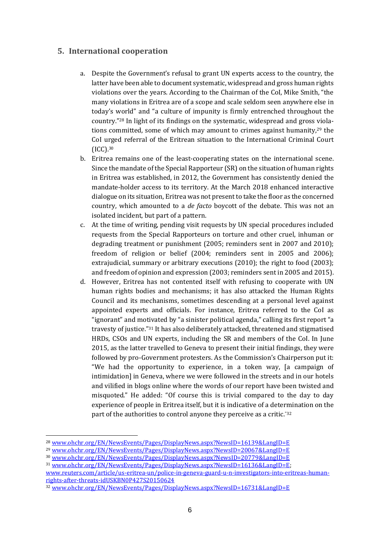#### **5. International cooperation**

- a. Despite the Government's refusal to grant UN experts access to the country, the latter have been able to document systematic, widespread and gross human rights violations over the years. According to the Chairman of the CoI, Mike Smith, "the many violations in Eritrea are of a scope and scale seldom seen anywhere else in today's world" and "a culture of impunity is firmly entrenched throughout the country."<sup>28</sup> In light of its findings on the systematic, widespread and gross violations committed, some of which may amount to crimes against humanity,<sup>29</sup> the CoI urged referral of the Eritrean situation to the International Criminal Court (ICC).<sup>30</sup>
- b. Eritrea remains one of the least-cooperating states on the international scene. Since the mandate of the Special Rapporteur (SR) on the situation of human rights in Eritrea was established, in 2012, the Government has consistently denied the mandate-holder access to its territory. At the March 2018 enhanced interactive dialogue on its situation, Eritrea was not present to take the floor as the concerned country, which amounted to a *de facto* boycott of the debate. This was not an isolated incident, but part of a pattern.
- c. At the time of writing, pending visit requests by UN special procedures included requests from the Special Rapporteurs on torture and other cruel, inhuman or degrading treatment or punishment (2005; reminders sent in 2007 and 2010); freedom of religion or belief (2004; reminders sent in 2005 and 2006); extrajudicial, summary or arbitrary executions (2010); the right to food (2003); and freedom of opinion and expression (2003; reminders sent in 2005 and 2015).
- d. However, Eritrea has not contented itself with refusing to cooperate with UN human rights bodies and mechanisms; it has also attacked the Human Rights Council and its mechanisms, sometimes descending at a personal level against appointed experts and officials. For instance, Eritrea referred to the CoI as "ignorant" and motivated by "a sinister political agenda," calling its first report "a travesty of justice."<sup>31</sup> It has also deliberately attacked, threatened and stigmatised HRDs, CSOs and UN experts, including the SR and members of the CoI. In June 2015, as the latter travelled to Geneva to present their initial findings, they were followed by pro-Government protesters. As the Commission's Chairperson put it: "We had the opportunity to experience, in a token way, [a campaign of intimidation] in Geneva, where we were followed in the streets and in our hotels and vilified in blogs online where the words of our report have been twisted and misquoted." He added: "Of course this is trivial compared to the day to day experience of people in Eritrea itself, but it is indicative of a determination on the part of the authorities to control anyone they perceive as a critic."<sup>32</sup>

<sup>&</sup>lt;sup>28</sup> [www.ohchr.org/EN/NewsEvents/Pages/DisplayNews.aspx?NewsID=16139&LangID=E](http://www.ohchr.org/EN/NewsEvents/Pages/DisplayNews.aspx?NewsID=16139&LangID=E)

<sup>29</sup> [www.ohchr.org/EN/NewsEvents/Pages/DisplayNews.aspx?NewsID=20067&LangID=E](http://www.ohchr.org/EN/NewsEvents/Pages/DisplayNews.aspx?NewsID=20067&LangID=E)

<sup>30</sup> [www.ohchr.org/EN/NewsEvents/Pages/DisplayNews.aspx?NewsID=20779&LangID=E](http://www.ohchr.org/EN/NewsEvents/Pages/DisplayNews.aspx?NewsID=20779&LangID=E)

<sup>31</sup> [www.ohchr.org/EN/NewsEvents/Pages/DisplayNews.aspx?NewsID=16136&LangID=E;](http://www.ohchr.org/EN/NewsEvents/Pages/DisplayNews.aspx?NewsID=16136&LangID=E)

[www.reuters.com/article/us-eritrea-un/police-in-geneva-guard-u-n-investigators-into-eritreas-human](https://www.reuters.com/article/us-eritrea-un/police-in-geneva-guard-u-n-investigators-into-eritreas-human-rights-after-threats-idUSKBN0P427S20150624)[rights-after-threats-idUSKBN0P427S20150624](https://www.reuters.com/article/us-eritrea-un/police-in-geneva-guard-u-n-investigators-into-eritreas-human-rights-after-threats-idUSKBN0P427S20150624)

<sup>32</sup> [www.ohchr.org/EN/NewsEvents/Pages/DisplayNews.aspx?NewsID=16731&LangID=E](http://www.ohchr.org/EN/NewsEvents/Pages/DisplayNews.aspx?NewsID=16731&LangID=E)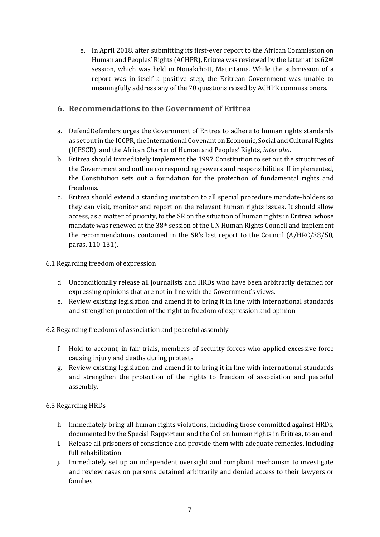e. In April 2018, after submitting its first-ever report to the African Commission on Human and Peoples' Rights (ACHPR), Eritrea was reviewed by the latter at its 62nd session, which was held in Nouakchott, Mauritania. While the submission of a report was in itself a positive step, the Eritrean Government was unable to meaningfully address any of the 70 questions raised by ACHPR commissioners.

#### **6. Recommendations to the Government of Eritrea**

- a. DefendDefenders urges the Government of Eritrea to adhere to human rights standards as set out in the ICCPR, the International Covenant on Economic, Social and Cultural Rights (ICESCR), and the African Charter of Human and Peoples' Rights, *inter alia*.
- b. Eritrea should immediately implement the 1997 Constitution to set out the structures of the Government and outline corresponding powers and responsibilities. If implemented, the Constitution sets out a foundation for the protection of fundamental rights and freedoms.
- c. Eritrea should extend a standing invitation to all special procedure mandate-holders so they can visit, monitor and report on the relevant human rights issues. It should allow access, as a matter of priority, to the SR on the situation of human rights in Eritrea, whose mandate was renewed at the 38th session of the UN Human Rights Council and implement the recommendations contained in the SR's last report to the Council (A/HRC/38/50, paras. 110-131).

#### 6.1 Regarding freedom of expression

- d. Unconditionally release all journalists and HRDs who have been arbitrarily detained for expressing opinions that are not in line with the Government's views.
- e. Review existing legislation and amend it to bring it in line with international standards and strengthen protection of the right to freedom of expression and opinion.
- 6.2 Regarding freedoms of association and peaceful assembly
	- f. Hold to account, in fair trials, members of security forces who applied excessive force causing injury and deaths during protests.
	- g. Review existing legislation and amend it to bring it in line with international standards and strengthen the protection of the rights to freedom of association and peaceful assembly.

#### 6.3 Regarding HRDs

- h. Immediately bring all human rights violations, including those committed against HRDs, documented by the Special Rapporteur and the CoI on human rights in Eritrea, to an end.
- i. Release all prisoners of conscience and provide them with adequate remedies, including full rehabilitation.
- j. Immediately set up an independent oversight and complaint mechanism to investigate and review cases on persons detained arbitrarily and denied access to their lawyers or families.